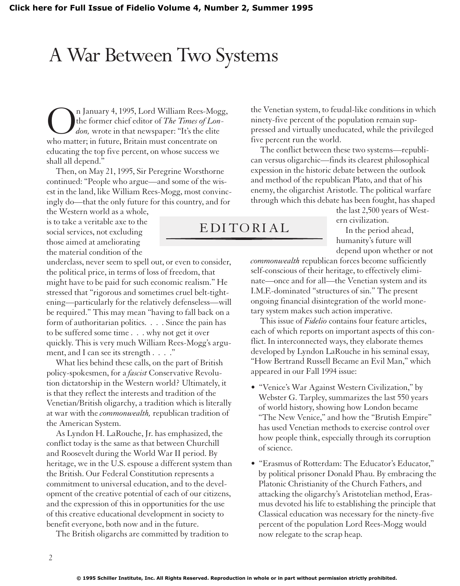## A War Between Two Systems

n January 4, 1995, Lord William Rees-Mogg, the former chief editor of *The Times of London,* wrote in that newspaper: "It's the elite who matter; in future, Britain must concentrate on educating the top five percent, on whose success we shall all depend."

Then, on May 21, 1995, Sir Peregrine Worsthorne continued: "People who argue—and some of the wisest in the land, like William Rees-Mogg, most convincingly do—that the only future for this country, and for

the Western world as a whole, is to take a veritable axe to the social services, not excluding those aimed at ameliorating the material condition of the

underclass, never seem to spell out, or even to consider, the political price, in terms of loss of freedom, that might have to be paid for such economic realism." He stressed that "rigorous and sometimes cruel belt-tightening—particularly for the relatively defenseless—will be required." This may mean "having to fall back on a form of authoritarian politics. . . . Since the pain has to be suffered some time . . . why not get it over quickly. This is very much William Rees-Mogg's argument, and I can see its strength . . . ."

What lies behind these calls, on the part of British policy-spokesmen, for a *fascist* Conservative Revolution dictatorship in the Western world? Ultimately, it is that they reflect the interests and tradition of the Venetian/British oligarchy, a tradition which is literally at war with the *commonwealth,* republican tradition of the American System.

As Lyndon H. LaRouche, Jr. has emphasized, the conflict today is the same as that between Churchill and Roosevelt during the World War II period. By heritage, we in the U.S. espouse a different system than the British. Our Federal Constitution represents a commitment to universal education, and to the development of the creative potential of each of our citizens, and the expression of this in opportunities for the use of this creative educational development in society to benefit everyone, both now and in the future.

The British oligarchs are committed by tradition to

the Venetian system, to feudal-like conditions in which ninety-five percent of the population remain suppressed and virtually uneducated, while the privileged five percent run the world.

The conflict between these two systems—republican versus oligarchic—finds its clearest philosophical expession in the historic debate between the outlook and method of the republican Plato, and that of his enemy, the oligarchist Aristotle. The political warfare through which this debate has been fought, has shaped

EDITORIAL

the last 2,500 years of Western civilization.

In the period ahead, humanity's future will depend upon whether or not

*commonwealth* republican forces become sufficiently self-conscious of their heritage, to effectively eliminate—once and for all—the Venetian system and its I.M.F.-dominated "structures of sin." The present ongoing financial disintegration of the world monetary system makes such action imperative.

This issue of *Fidelio* contains four feature articles, each of which reports on important aspects of this conflict. In interconnected ways, they elaborate themes developed by Lyndon LaRouche in his seminal essay, "How Bertrand Russell Became an Evil Man," which appeared in our Fall 1994 issue:

- "Venice's War Against Western Civilization," by Webster G. Tarpley, summarizes the last 550 years of world history, showing how London became "The New Venice," and how the "Brutish Empire" has used Venetian methods to exercise control over how people think, especially through its corruption of science.
- "Erasmus of Rotterdam: The Educator's Educator," by political prisoner Donald Phau. By embracing the Platonic Christianity of the Church Fathers, and attacking the oligarchy's Aristotelian method, Erasmus devoted his life to establishing the principle that Classical education was necessary for the ninety-five percent of the population Lord Rees-Mogg would now relegate to the scrap heap.